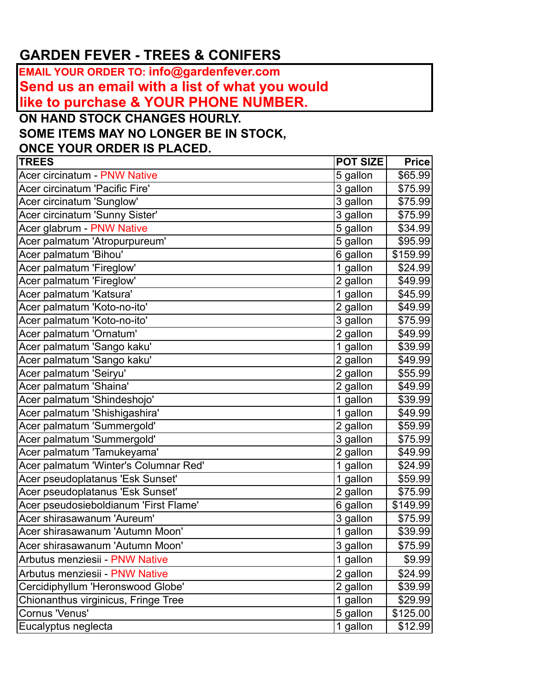## **GARDEN FEVER - TREES & CONIFERS**

**EMAIL YOUR ORDER TO: info@gardenfever.com Send us an email with a list of what you would like to purchase & YOUR PHONE NUMBER.**

**ON HAND STOCK CHANGES HOURLY.**

**SOME ITEMS MAY NO LONGER BE IN STOCK,** 

**ONCE YOUR ORDER IS PLACED.**

| <b>TREES</b>                          | <b>POT SIZE</b> | <b>Price</b> |
|---------------------------------------|-----------------|--------------|
| Acer circinatum - PNW Native          | 5 gallon        | \$65.99      |
| Acer circinatum 'Pacific Fire'        | 3 gallon        | \$75.99      |
| Acer circinatum 'Sunglow'             | 3 gallon        | \$75.99      |
| Acer circinatum 'Sunny Sister'        | 3 gallon        | \$75.99      |
| Acer glabrum - PNW Native             | 5 gallon        | \$34.99      |
| Acer palmatum 'Atropurpureum'         | 5 gallon        | \$95.99      |
| Acer palmatum 'Bihou'                 | 6 gallon        | \$159.99     |
| Acer palmatum 'Fireglow'              | 1 gallon        | \$24.99      |
| Acer palmatum 'Fireglow'              | 2 gallon        | \$49.99      |
| Acer palmatum 'Katsura'               | 1 gallon        | \$45.99      |
| Acer palmatum 'Koto-no-ito'           | 2 gallon        | \$49.99      |
| Acer palmatum 'Koto-no-ito'           | 3 gallon        | \$75.99      |
| Acer palmatum 'Ornatum'               | 2 gallon        | \$49.99      |
| Acer palmatum 'Sango kaku'            | 1 gallon        | \$39.99      |
| Acer palmatum 'Sango kaku'            | 2 gallon        | \$49.99      |
| Acer palmatum 'Seiryu'                | 2 gallon        | \$55.99      |
| Acer palmatum 'Shaina'                | 2 gallon        | \$49.99      |
| Acer palmatum 'Shindeshojo'           | 1 gallon        | \$39.99      |
| Acer palmatum 'Shishigashira'         | 1 gallon        | \$49.99      |
| Acer palmatum 'Summergold'            | 2 gallon        | \$59.99      |
| Acer palmatum 'Summergold'            | 3 gallon        | \$75.99      |
| Acer palmatum 'Tamukeyama'            | 2 gallon        | \$49.99      |
| Acer palmatum 'Winter's Columnar Red' | 1 gallon        | \$24.99      |
| Acer pseudoplatanus 'Esk Sunset'      | 1 gallon        | \$59.99      |
| Acer pseudoplatanus 'Esk Sunset'      | 2 gallon        | \$75.99      |
| Acer pseudosieboldianum 'First Flame' | 6 gallon        | \$149.99     |
| Acer shirasawanum 'Aureum'            | 3 gallon        | \$75.99      |
| Acer shirasawanum 'Autumn Moon'       | 1 gallon        | \$39.99      |
| Acer shirasawanum 'Autumn Moon'       | 3 gallon        | \$75.99      |
| Arbutus menziesii - PNW Native        | 1 gallon        | \$9.99       |
| Arbutus menziesii - PNW Native        | 2 gallon        | \$24.99      |
| Cercidiphyllum 'Heronswood Globe'     | 2 gallon        | \$39.99      |
| Chionanthus virginicus, Fringe Tree   | 1 gallon        | \$29.99      |
| Cornus 'Venus'                        | 5 gallon        | \$125.00     |
| Eucalyptus neglecta                   | 1 gallon        | \$12.99      |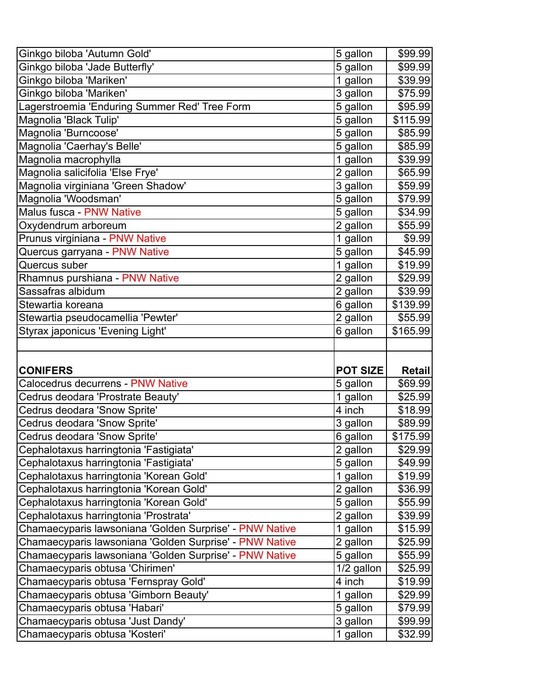| Ginkgo biloba 'Autumn Gold'                                         | 5 gallon        | \$99.99  |
|---------------------------------------------------------------------|-----------------|----------|
| Ginkgo biloba 'Jade Butterfly'                                      | 5 gallon        | \$99.99  |
| Ginkgo biloba 'Mariken'                                             | 1 gallon        | \$39.99  |
| Ginkgo biloba 'Mariken'                                             | 3 gallon        | \$75.99  |
| Lagerstroemia 'Enduring Summer Red' Tree Form                       | 5 gallon        | \$95.99  |
| Magnolia 'Black Tulip'                                              | 5 gallon        | \$115.99 |
| Magnolia 'Burncoose'                                                | 5 gallon        | \$85.99  |
| Magnolia 'Caerhay's Belle'                                          | $5$ gallon      | \$85.99  |
| Magnolia macrophylla                                                | 1 gallon        | \$39.99  |
| Magnolia salicifolia 'Else Frye'                                    | 2 gallon        | \$65.99  |
| Magnolia virginiana 'Green Shadow'                                  | 3 gallon        | \$59.99  |
| Magnolia 'Woodsman'                                                 | 5 gallon        | \$79.99  |
| <b>Malus fusca - PNW Native</b>                                     | 5 gallon        | \$34.99  |
| Oxydendrum arboreum                                                 | 2 gallon        | \$55.99  |
| Prunus virginiana - PNW Native                                      | 1 gallon        | \$9.99   |
| Quercus garryana - PNW Native                                       | 5 gallon        | \$45.99  |
| Quercus suber                                                       | 1 gallon        | \$19.99  |
| Rhamnus purshiana - PNW Native                                      | 2 gallon        | \$29.99  |
| Sassafras albidum                                                   | 2 gallon        | \$39.99  |
| Stewartia koreana                                                   | 6 gallon        | \$139.99 |
| Stewartia pseudocamellia 'Pewter'                                   | 2 gallon        | \$55.99  |
| Styrax japonicus 'Evening Light'                                    | 6 gallon        | \$165.99 |
|                                                                     |                 |          |
|                                                                     |                 |          |
|                                                                     |                 |          |
| <b>CONIFERS</b>                                                     | <b>POT SIZE</b> | Retail   |
| Calocedrus decurrens - PNW Native                                   | 5 gallon        | \$69.99  |
| Cedrus deodara 'Prostrate Beauty'                                   | 1 gallon        | \$25.99  |
| Cedrus deodara 'Snow Sprite'                                        | 4 inch          | \$18.99  |
| Cedrus deodara 'Snow Sprite'                                        | 3 gallon        | \$89.99  |
| Cedrus deodara 'Snow Sprite'                                        | 6 gallon        | \$175.99 |
| Cephalotaxus harringtonia 'Fastigiata'                              | 2 gallon        | \$29.99  |
| Cephalotaxus harringtonia 'Fastigiata'                              | 5 gallon        | \$49.99  |
| Cephalotaxus harringtonia 'Korean Gold'                             | 1 gallon        | \$19.99  |
| Cephalotaxus harringtonia 'Korean Gold'                             | 2 gallon        | \$36.99  |
| Cephalotaxus harringtonia 'Korean Gold'                             | 5 gallon        | \$55.99  |
| Cephalotaxus harringtonia 'Prostrata'                               | 2 gallon        | \$39.99  |
| Chamaecyparis lawsoniana 'Golden Surprise' - PNW Native             | 1 gallon        | \$15.99  |
| Chamaecyparis lawsoniana 'Golden Surprise' - PNW Native             | 2 gallon        | \$25.99  |
| Chamaecyparis lawsoniana 'Golden Surprise' - PNW Native             | 5 gallon        | \$55.99  |
| Chamaecyparis obtusa 'Chirimen'                                     | 1/2 gallon      | \$25.99  |
| Chamaecyparis obtusa 'Fernspray Gold'                               | 4 inch          | \$19.99  |
| Chamaecyparis obtusa 'Gimborn Beauty'                               | 1 gallon        | \$29.99  |
| Chamaecyparis obtusa 'Habari'                                       | 5 gallon        | \$79.99  |
| Chamaecyparis obtusa 'Just Dandy'<br>Chamaecyparis obtusa 'Kosteri' | 3 gallon        | \$99.99  |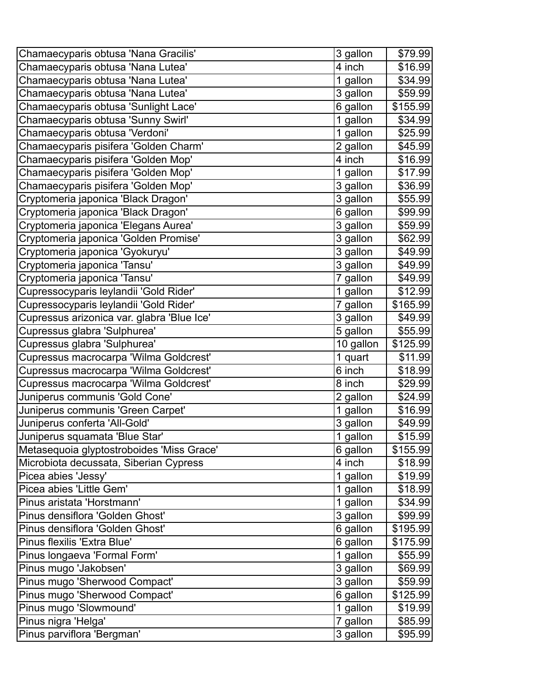| Chamaecyparis obtusa 'Nana Gracilis'       | 3 gallon  | \$79.99  |
|--------------------------------------------|-----------|----------|
| Chamaecyparis obtusa 'Nana Lutea'          | 4 inch    | \$16.99  |
| Chamaecyparis obtusa 'Nana Lutea'          | 1 gallon  | \$34.99  |
| Chamaecyparis obtusa 'Nana Lutea'          | 3 gallon  | \$59.99  |
| Chamaecyparis obtusa 'Sunlight Lace'       | 6 gallon  | \$155.99 |
| Chamaecyparis obtusa 'Sunny Swirl'         | 1 gallon  | \$34.99  |
| Chamaecyparis obtusa 'Verdoni'             | 1 gallon  | \$25.99  |
| Chamaecyparis pisifera 'Golden Charm'      | 2 gallon  | \$45.99  |
| Chamaecyparis pisifera 'Golden Mop'        | 4 inch    | \$16.99  |
| Chamaecyparis pisifera 'Golden Mop'        | 1 gallon  | \$17.99  |
| Chamaecyparis pisifera 'Golden Mop'        | 3 gallon  | \$36.99  |
| Cryptomeria japonica 'Black Dragon'        | 3 gallon  | \$55.99  |
| Cryptomeria japonica 'Black Dragon'        | 6 gallon  | \$99.99  |
| Cryptomeria japonica 'Elegans Aurea'       | 3 gallon  | \$59.99  |
| Cryptomeria japonica 'Golden Promise'      | 3 gallon  | \$62.99  |
| Cryptomeria japonica 'Gyokuryu'            | 3 gallon  | \$49.99  |
| Cryptomeria japonica 'Tansu'               | 3 gallon  | \$49.99  |
| Cryptomeria japonica 'Tansu'               | 7 gallon  | \$49.99  |
| Cupressocyparis leylandii 'Gold Rider'     | 1 gallon  | \$12.99  |
| Cupressocyparis leylandii 'Gold Rider'     | 7 gallon  | \$165.99 |
| Cupressus arizonica var. glabra 'Blue Ice' | 3 gallon  | \$49.99  |
| Cupressus glabra 'Sulphurea'               | 5 gallon  | \$55.99  |
| Cupressus glabra 'Sulphurea'               | 10 gallon | \$125.99 |
| Cupressus macrocarpa 'Wilma Goldcrest'     | 1 quart   | \$11.99  |
| Cupressus macrocarpa 'Wilma Goldcrest'     | 6 inch    | \$18.99  |
| Cupressus macrocarpa 'Wilma Goldcrest'     | 8 inch    | \$29.99  |
| Juniperus communis 'Gold Cone'             | 2 gallon  | \$24.99  |
| Juniperus communis 'Green Carpet'          | 1 gallon  | \$16.99  |
| Juniperus conferta 'All-Gold'              | 3 gallon  | \$49.99  |
| Juniperus squamata 'Blue Star'             | 1 gallon  | \$15.99  |
| Metasequoia glyptostroboides 'Miss Grace'  | 6 gallon  | \$155.99 |
| Microbiota decussata, Siberian Cypress     | 4 inch    | \$18.99  |
| Picea abies 'Jessy'                        | 1 gallon  | \$19.99  |
| Picea abies 'Little Gem'                   | 1 gallon  | \$18.99  |
| Pinus aristata 'Horstmann'                 | 1 gallon  | \$34.99  |
| Pinus densiflora 'Golden Ghost'            | 3 gallon  | \$99.99  |
| Pinus densiflora 'Golden Ghost'            | 6 gallon  | \$195.99 |
| Pinus flexilis 'Extra Blue'                | 6 gallon  | \$175.99 |
| Pinus longaeva 'Formal Form'               | 1 gallon  | \$55.99  |
| Pinus mugo 'Jakobsen'                      | 3 gallon  | \$69.99  |
| Pinus mugo 'Sherwood Compact'              | 3 gallon  | \$59.99  |
| Pinus mugo 'Sherwood Compact'              | 6 gallon  | \$125.99 |
| Pinus mugo 'Slowmound'                     | 1 gallon  | \$19.99  |
| Pinus nigra 'Helga'                        | 7 gallon  | \$85.99  |
| Pinus parviflora 'Bergman'                 | 3 gallon  | \$95.99  |